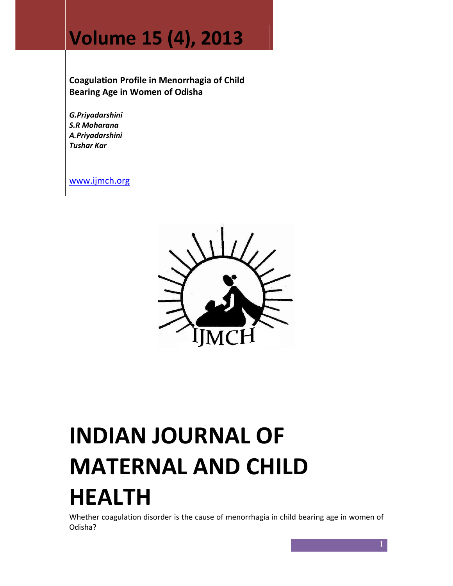# Volume 15 (4), 2013

Coagulation Profile in Menorrhagia of Child Bearing Age in Women of Odisha

G.Priyadarshini S.R Moharana A.Priyadarshini Tushar Kar

www.ijmch.org



# INDIAN JOURNAL OF MATERNAL AND CHILD HEALTH

Whether coagulation disorder is the cause of menorrhagia in child bearing age in women of Odisha?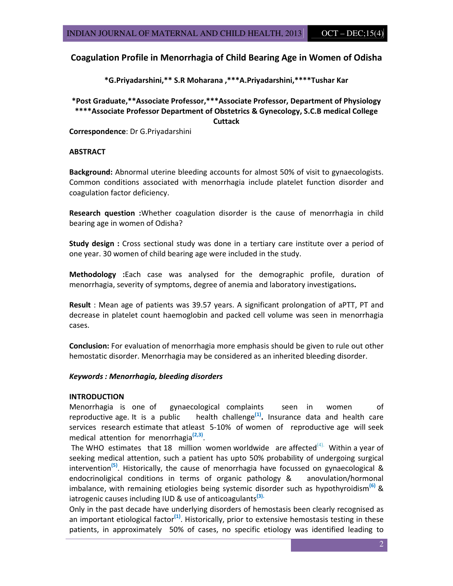# Coagulation Profile in Menorrhagia of Child Bearing Age in Women of Odisha

\*G.Priyadarshini,\*\* S.R Moharana ,\*\*\*A.Priyadarshini,\*\*\*\*Tushar Kar

\*Post Graduate,\*\*Associate Professor,\*\*\*Associate Professor, Department of Physiology \*\*\*\*Associate Professor Department of Obstetrics & Gynecology, S.C.B medical College **Cuttack** 

Correspondence: Dr G.Priyadarshini

#### **ABSTRACT**

Background: Abnormal uterine bleeding accounts for almost 50% of visit to gynaecologists. Common conditions associated with menorrhagia include platelet function disorder and coagulation factor deficiency.

Research question : Whether coagulation disorder is the cause of menorrhagia in child bearing age in women of Odisha?

Study design : Cross sectional study was done in a tertiary care institute over a period of one year. 30 women of child bearing age were included in the study.

Methodology : Each case was analysed for the demographic profile, duration of menorrhagia, severity of symptoms, degree of anemia and laboratory investigations.

Result : Mean age of patients was 39.57 years. A significant prolongation of aPTT, PT and decrease in platelet count haemoglobin and packed cell volume was seen in menorrhagia cases.

Conclusion: For evaluation of menorrhagia more emphasis should be given to rule out other hemostatic disorder. Menorrhagia may be considered as an inherited bleeding disorder.

#### Keywords : Menorrhagia, bleeding disorders

#### **INTRODUCTION**

Menorrhagia is one of gynaecological complaints seen in women of reproductive age. It is a public health challenge<sup>(1)</sup>. Insurance data and health care services research estimate that atleast 5-10% of women of reproductive age will seek medical attention for menorrhagia<sup>(2,3)</sup>.

The WHO estimates that 18 million women worldwide are affected<sup>(4).</sup> Within a year of seeking medical attention, such a patient has upto 50% probability of undergoing surgical intervention<sup>(5)</sup>. Historically, the cause of menorrhagia have focussed on gynaecological & endocrinoligical conditions in terms of organic pathology & anovulation/hormonal imbalance, with remaining etiologies being systemic disorder such as hypothyroidism<sup>(6)</sup> & iatrogenic causes including IUD & use of anticoagulants<sup>(3).</sup>

Only in the past decade have underlying disorders of hemostasis been clearly recognised as an important etiological factor<sup>(1)</sup>. Historically, prior to extensive hemostasis testing in these patients, in approximately 50% of cases, no specific etiology was identified leading to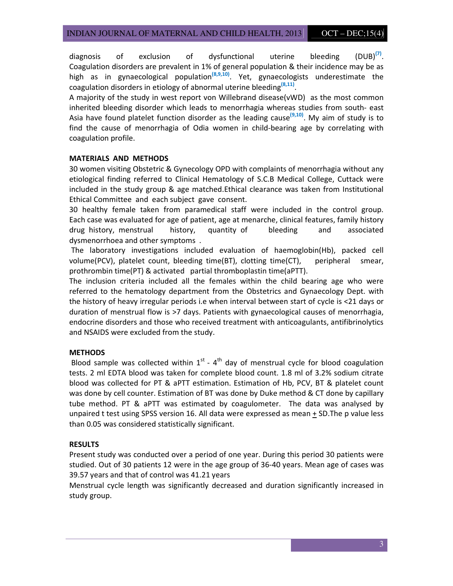diagnosis of exclusion of dysfunctional uterine bleeding  $(DUB)^{(7)}$ . Coagulation disorders are prevalent in 1% of general population & their incidence may be as high as in gynaecological population<sup>(8,9,10)</sup>. Yet, gynaecologists underestimate the coagulation disorders in etiology of abnormal uterine bleeding  $(8,11)$ .

A majority of the study in west report von Willebrand disease(vWD) as the most common inherited bleeding disorder which leads to menorrhagia whereas studies from south- east Asia have found platelet function disorder as the leading cause<sup>(9,10)</sup>. My aim of study is to find the cause of menorrhagia of Odia women in child-bearing age by correlating with coagulation profile.

# MATERIALS AND METHODS

30 women visiting Obstetric & Gynecology OPD with complaints of menorrhagia without any etiological finding referred to Clinical Hematology of S.C.B Medical College, Cuttack were included in the study group & age matched.Ethical clearance was taken from Institutional Ethical Committee and each subject gave consent.

30 healthy female taken from paramedical staff were included in the control group. Each case was evaluated for age of patient, age at menarche, clinical features, family history drug history, menstrual history, quantity of bleeding and associated dysmenorrhoea and other symptoms .

 The laboratory investigations included evaluation of haemoglobin(Hb), packed cell volume(PCV), platelet count, bleeding time(BT), clotting time(CT), peripheral smear, prothrombin time(PT) & activated partial thromboplastin time(aPTT).

The inclusion criteria included all the females within the child bearing age who were referred to the hematology department from the Obstetrics and Gynaecology Dept. with the history of heavy irregular periods i.e when interval between start of cycle is <21 days or duration of menstrual flow is >7 days. Patients with gynaecological causes of menorrhagia, endocrine disorders and those who received treatment with anticoagulants, antifibrinolytics and NSAIDS were excluded from the study.

# **METHODS**

Blood sample was collected within  $1^{st}$  - 4<sup>th</sup> day of menstrual cycle for blood coagulation tests. 2 ml EDTA blood was taken for complete blood count. 1.8 ml of 3.2% sodium citrate blood was collected for PT & aPTT estimation. Estimation of Hb, PCV, BT & platelet count was done by cell counter. Estimation of BT was done by Duke method & CT done by capillary tube method. PT & aPTT was estimated by coagulometer. The data was analysed by unpaired t test using SPSS version 16. All data were expressed as mean + SD.The p value less than 0.05 was considered statistically significant.

## RESULTS

Present study was conducted over a period of one year. During this period 30 patients were studied. Out of 30 patients 12 were in the age group of 36-40 years. Mean age of cases was 39.57 years and that of control was 41.21 years

Menstrual cycle length was significantly decreased and duration significantly increased in study group.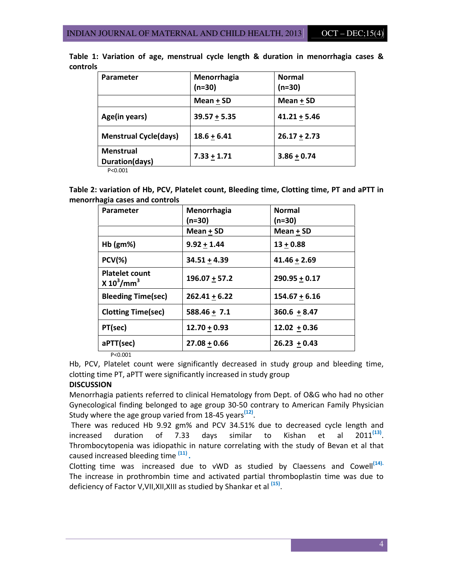| <b>Parameter</b>                   | Menorrhagia<br>$(n=30)$ | <b>Normal</b><br>(n=30) |
|------------------------------------|-------------------------|-------------------------|
|                                    | Mean + SD               | Mean + SD               |
| Age(in years)                      | $39.57 + 5.35$          | $41.21 + 5.46$          |
| <b>Menstrual Cycle(days)</b>       | $18.6 + 6.41$           | $26.17 + 2.73$          |
| <b>Menstrual</b><br>Duration(days) | $7.33 + 1.71$           | $3.86 + 0.74$           |

Table 1: Variation of age, menstrual cycle length & duration in menorrhagia cases & controls

P<0.001

Table 2: variation of Hb, PCV, Platelet count, Bleeding time, Clotting time, PT and aPTT in menorrhagia cases and controls

| <b>Parameter</b>                       | Menorrhagia     | <b>Normal</b>   |
|----------------------------------------|-----------------|-----------------|
|                                        | $(n=30)$        | (n=30)          |
|                                        | Mean $+$ SD     | Mean $+$ SD     |
| $Hb$ (gm%)                             | $9.92 + 1.44$   | $13 + 0.88$     |
| $PCV(\%)$                              | $34.51 + 4.39$  | $41.46 + 2.69$  |
| <b>Platelet count</b><br>$X 10^3/mm^3$ | $196.07 + 57.2$ | $290.95 + 0.17$ |
| <b>Bleeding Time(sec)</b>              | $262.41 + 6.22$ | $154.67 + 6.16$ |
| <b>Clotting Time(sec)</b>              | $588.46 + 7.1$  | $360.6 + 8.47$  |
| PT(sec)                                | $12.70 + 0.93$  | $12.02 + 0.36$  |
| aPTT(sec)                              | $27.08 + 0.66$  | $26.23 + 0.43$  |

P<0.001

Hb, PCV, Platelet count were significantly decreased in study group and bleeding time, clotting time PT, aPTT were significantly increased in study group

# **DISCUSSION**

Menorrhagia patients referred to clinical Hematology from Dept. of O&G who had no other Gynecological finding belonged to age group 30-50 contrary to American Family Physician Study where the age group varied from 18-45 years<sup>(12)</sup>.

 There was reduced Hb 9.92 gm% and PCV 34.51% due to decreased cycle length and increased duration of 7.33 days similar to Kishan et al 2011<sup>(13)</sup>  $2011^{(13)}$ . Thrombocytopenia was idiopathic in nature correlating with the study of Bevan et al that caused increased bleeding time <sup>(11)</sup>.

Clotting time was increased due to vWD as studied by Claessens and Cowell<sup>(14).</sup> The increase in prothrombin time and activated partial thromboplastin time was due to deficiency of Factor V,VII,XII,XIII as studied by Shankar et al <sup>(15)</sup>.